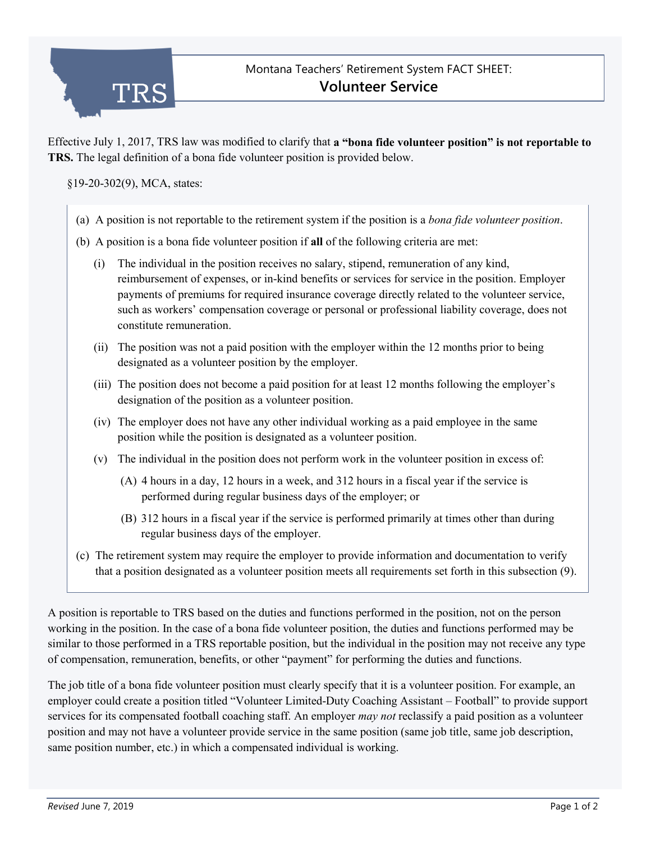

Effective July 1, 2017, TRS law was modified to clarify that **a "bona fide volunteer position" is not reportable to TRS.** The legal definition of a bona fide volunteer position is provided below.

§19-20-302(9), MCA, states:

- (a) A position is not reportable to the retirement system if the position is a *bona fide volunteer position*.
- (b) A position is a bona fide volunteer position if **all** of the following criteria are met:
	- (i) The individual in the position receives no salary, stipend, remuneration of any kind, reimbursement of expenses, or in-kind benefits or services for service in the position. Employer payments of premiums for required insurance coverage directly related to the volunteer service, such as workers' compensation coverage or personal or professional liability coverage, does not constitute remuneration.
	- (ii) The position was not a paid position with the employer within the 12 months prior to being designated as a volunteer position by the employer.
	- (iii) The position does not become a paid position for at least 12 months following the employer's designation of the position as a volunteer position.
	- (iv) The employer does not have any other individual working as a paid employee in the same position while the position is designated as a volunteer position.
	- (v) The individual in the position does not perform work in the volunteer position in excess of:
		- (A) 4 hours in a day, 12 hours in a week, and 312 hours in a fiscal year if the service is performed during regular business days of the employer; or
		- (B) 312 hours in a fiscal year if the service is performed primarily at times other than during regular business days of the employer.
- (c) The retirement system may require the employer to provide information and documentation to verify that a position designated as a volunteer position meets all requirements set forth in this subsection (9).

A position is reportable to TRS based on the duties and functions performed in the position, not on the person working in the position. In the case of a bona fide volunteer position, the duties and functions performed may be similar to those performed in a TRS reportable position, but the individual in the position may not receive any type of compensation, remuneration, benefits, or other "payment" for performing the duties and functions.

The job title of a bona fide volunteer position must clearly specify that it is a volunteer position. For example, an employer could create a position titled "Volunteer Limited-Duty Coaching Assistant – Football" to provide support services for its compensated football coaching staff. An employer *may not* reclassify a paid position as a volunteer position and may not have a volunteer provide service in the same position (same job title, same job description, same position number, etc.) in which a compensated individual is working.